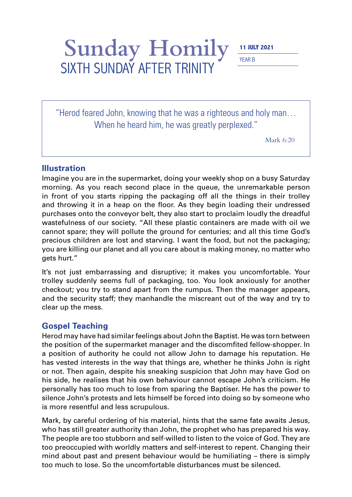## Sunday Homily SIXTH SUNDAY AFTER TRINITY

YEAR B

"Herod feared John, knowing that he was a righteous and holy man… When he heard him, he was greatly perplexed."

Mark 6:20

## **Illustration**

Imagine you are in the supermarket, doing your weekly shop on a busy Saturday morning. As you reach second place in the queue, the unremarkable person in front of you starts ripping the packaging off all the things in their trolley and throwing it in a heap on the floor. As they begin loading their undressed purchases onto the conveyor belt, they also start to proclaim loudly the dreadful wastefulness of our society. "All these plastic containers are made with oil we cannot spare; they will pollute the ground for centuries; and all this time God's precious children are lost and starving. I want the food, but not the packaging; you are killing our planet and all you care about is making money, no matter who gets hurt."

It's not just embarrassing and disruptive; it makes you uncomfortable. Your trolley suddenly seems full of packaging, too. You look anxiously for another checkout; you try to stand apart from the rumpus. Then the manager appears, and the security staff; they manhandle the miscreant out of the way and try to clear up the mess.

## **Gospel Teaching**

Herod may have had similar feelings about John the Baptist. He was torn between the position of the supermarket manager and the discomfited fellow-shopper. In a position of authority he could not allow John to damage his reputation. He has vested interests in the way that things are, whether he thinks John is right or not. Then again, despite his sneaking suspicion that John may have God on his side, he realises that his own behaviour cannot escape John's criticism. He personally has too much to lose from sparing the Baptiser. He has the power to silence John's protests and lets himself be forced into doing so by someone who is more resentful and less scrupulous.

Mark, by careful ordering of his material, hints that the same fate awaits Jesus, who has still greater authority than John, the prophet who has prepared his way. The people are too stubborn and self-willed to listen to the voice of God. They are too preoccupied with worldly matters and self-interest to repent. Changing their mind about past and present behaviour would be humiliating – there is simply too much to lose. So the uncomfortable disturbances must be silenced.